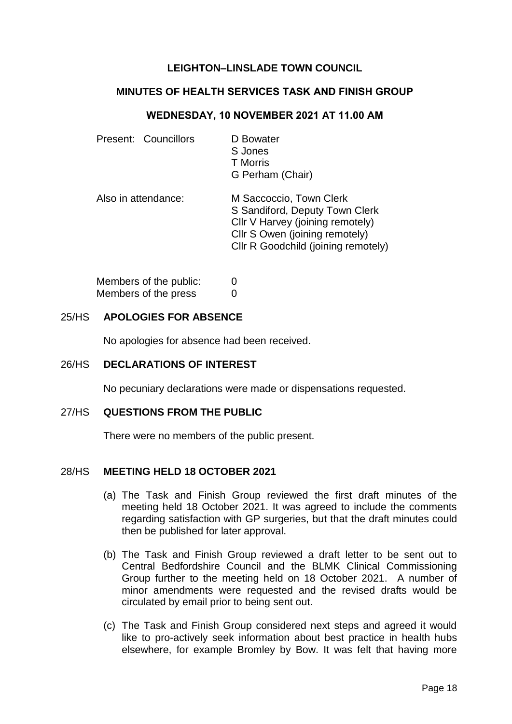# **LEIGHTON–LINSLADE TOWN COUNCIL**

### **MINUTES OF HEALTH SERVICES TASK AND FINISH GROUP**

### **WEDNESDAY, 10 NOVEMBER 2021 AT 11.00 AM**

| Present: Councillors | D Bowater<br>S Jones<br><b>T</b> Morris<br>G Perham (Chair)                                                                                                            |
|----------------------|------------------------------------------------------------------------------------------------------------------------------------------------------------------------|
| Also in attendance:  | M Saccoccio, Town Clerk<br>S Sandiford, Deputy Town Clerk<br>Cllr V Harvey (joining remotely)<br>Cllr S Owen (joining remotely)<br>Cllr R Goodchild (joining remotely) |

| Members of the public: | 0 |
|------------------------|---|
| Members of the press   | 0 |

# 25/HS **APOLOGIES FOR ABSENCE**

No apologies for absence had been received.

#### 26/HS **DECLARATIONS OF INTEREST**

No pecuniary declarations were made or dispensations requested.

# 27/HS **QUESTIONS FROM THE PUBLIC**

There were no members of the public present.

#### 28/HS **MEETING HELD 18 OCTOBER 2021**

- (a) The Task and Finish Group reviewed the first draft minutes of the meeting held 18 October 2021. It was agreed to include the comments regarding satisfaction with GP surgeries, but that the draft minutes could then be published for later approval.
- (b) The Task and Finish Group reviewed a draft letter to be sent out to Central Bedfordshire Council and the BLMK Clinical Commissioning Group further to the meeting held on 18 October 2021. A number of minor amendments were requested and the revised drafts would be circulated by email prior to being sent out.
- (c) The Task and Finish Group considered next steps and agreed it would like to pro-actively seek information about best practice in health hubs elsewhere, for example Bromley by Bow. It was felt that having more